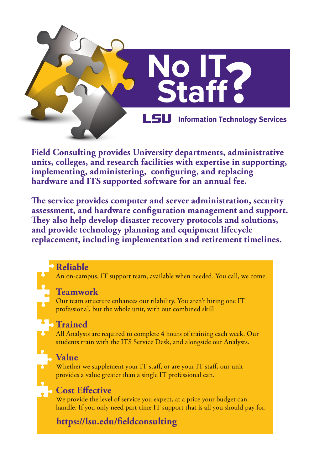

**Field Consulting provides University departments, administrative units, colleges, and research facilities with expertise in supporting,**  implementing, administering, configuring, and replacing **hardware and ITS supported software for an annual fee.** 

The service provides computer and server administration, security assessment, and hardware configuration management and support. They also help develop disaster recovery protocols and solutions, **and provide technology planning and equipment lifecycle replacement, including implementation and retirement timelines.** 

#### **Reliable**

An on-campus, IT support team, available when needed. You call, we come.

#### **Teamwork**

Our team structure enhances our rilability. You aren't hiring one IT professional, but the whole unit, with our combined skill

## **Trained**

All Analysts are required to complete 4 hours of training each week. Our students train with the ITS Service Desk, and alongside our Analysts.

## **Value**

Whether we supplement your IT staff, or are your IT staff, our unit provides a value greater than a single IT professional can.

## **Cost Effective**

We provide the level of service you expect, at a price your budget can handle. If you only need part-time IT support that is all you should pay for.

# **[https://lsu.edu/ÿeldconsulting](https://lsu.edu/�eldconsulting)**